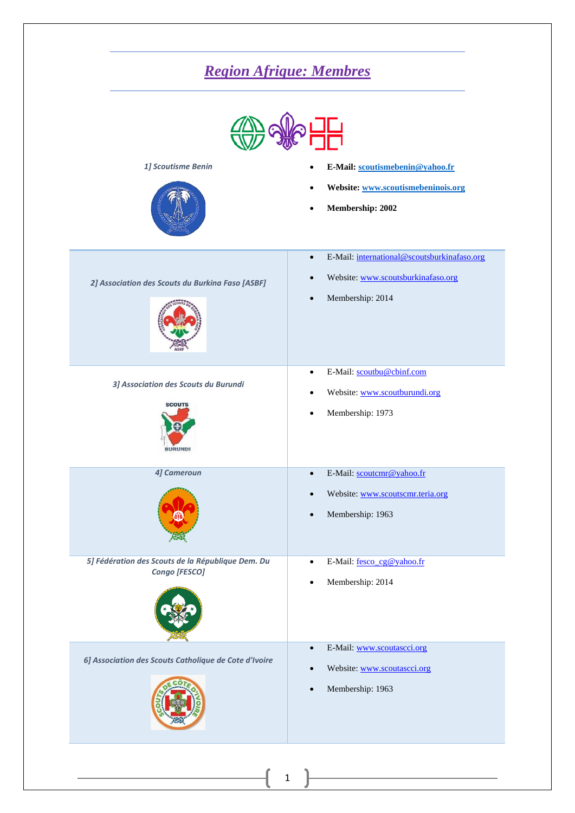## *Region Afrique: Membres*





- *1] Scoutisme Benin* **E-Mail: [scoutismebenin@yahoo.fr](mailto:scoutismebenin@yahoo.fr)**
	- **Website: [www.scoutismebeninois.org](http://www.scoutismebeninois.org/)**
	- **Membership: 2002**

| 2] Association des Scouts du Burkina Faso [ASBF]                        | E-Mail: international@scoutsburkinafaso.org<br>$\bullet$<br>Website: www.scoutsburkinafaso.org<br>Membership: 2014 |
|-------------------------------------------------------------------------|--------------------------------------------------------------------------------------------------------------------|
| 3] Association des Scouts du Burundi<br><b>SCOUTS</b><br><b>BURUNDI</b> | E-Mail: scoutbu@cbinf.com<br>$\bullet$<br>Website: www.scoutburundi.org<br>Membership: 1973                        |
| 4] Cameroun                                                             | E-Mail: scoutcmr@yahoo.fr<br>$\bullet$<br>Website: www.scoutscmr.teria.org<br>Membership: 1963<br>$\bullet$        |
| 5] Fédération des Scouts de la République Dem. Du<br>Congo [FESCO]      | E-Mail: fesco_cg@yahoo.fr<br>$\bullet$<br>Membership: 2014                                                         |
| 6] Association des Scouts Catholique de Cote d'Ivoire                   | E-Mail: www.scoutascci.org<br>$\bullet$<br>Website: www.scoutascci.org<br>Membership: 1963                         |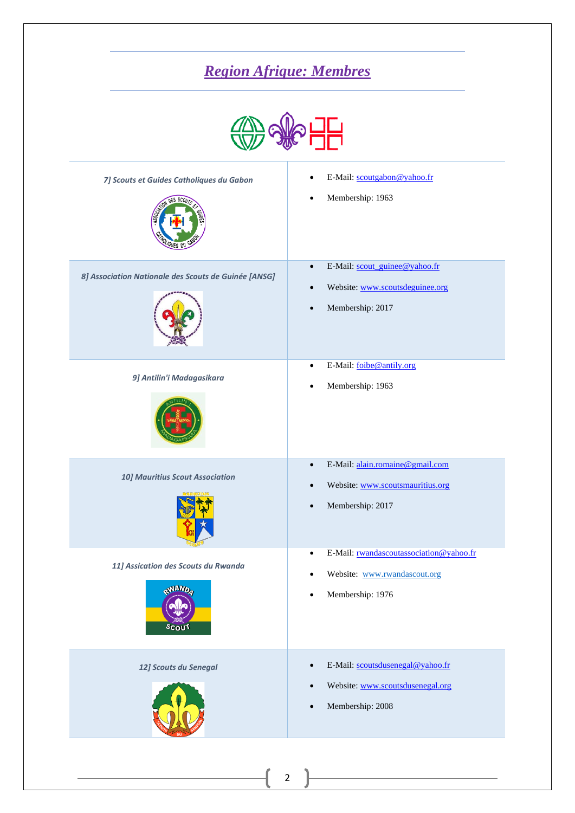## *Region Afrique: Membres*



| 7] Scouts et Guides Catholiques du Gabon                      | E-Mail: scoutgabon@yahoo.fr<br>Membership: 1963                                                                   |
|---------------------------------------------------------------|-------------------------------------------------------------------------------------------------------------------|
| 8] Association Nationale des Scouts de Guinée [ANSG]          | E-Mail: scout_guinee@yahoo.fr<br>$\bullet$<br>Website: www.scoutsdeguinee.org<br>Membership: 2017                 |
| 9] Antilin'i Madagasikara                                     | E-Mail: foibe@antily.org<br>٠<br>Membership: 1963                                                                 |
| <b>10] Mauritius Scout Association</b>                        | E-Mail: alain.romaine@gmail.com<br>$\bullet$<br>Website: www.scoutsmauritius.org<br>Membership: 2017<br>$\bullet$ |
| 11] Assication des Scouts du Rwanda<br><b>RWAND2</b><br>SCOUT | E-Mail: rwandascoutassociation@yahoo.fr<br>$\bullet$<br>Website: www.rwandascout.org<br>Membership: 1976          |
| 12] Scouts du Senegal                                         | E-Mail: scoutsdusenegal@yahoo.fr<br>Website: www.scoutsdusenegal.org<br>$\bullet$<br>Membership: 2008             |